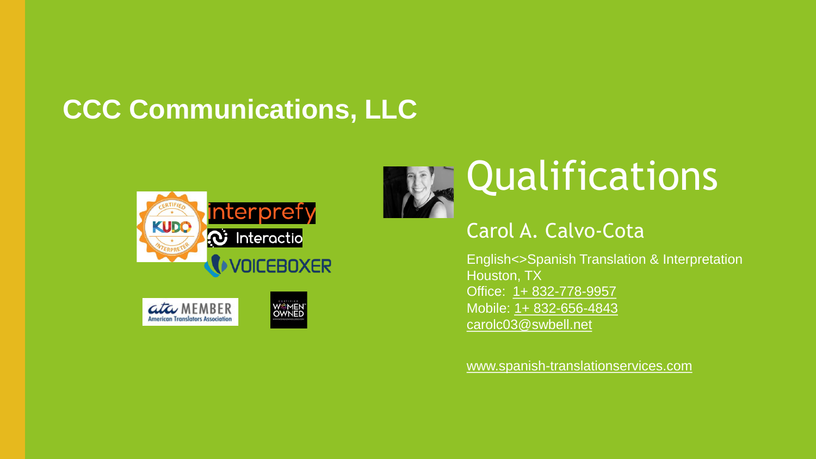### <span id="page-0-0"></span>**CCC Communications, LLC**







#### Carol A. Calvo-Cota

English<>Spanish Translation & Interpretation Houston, TX Office: 1+ 832-778-9957 Mobile: [1+ 832-656-4843](#page-0-0) [carolc03@swbell.net](mailto:carolc03@swbell.net)

[www.spanish-translationservices.com](#page-0-0)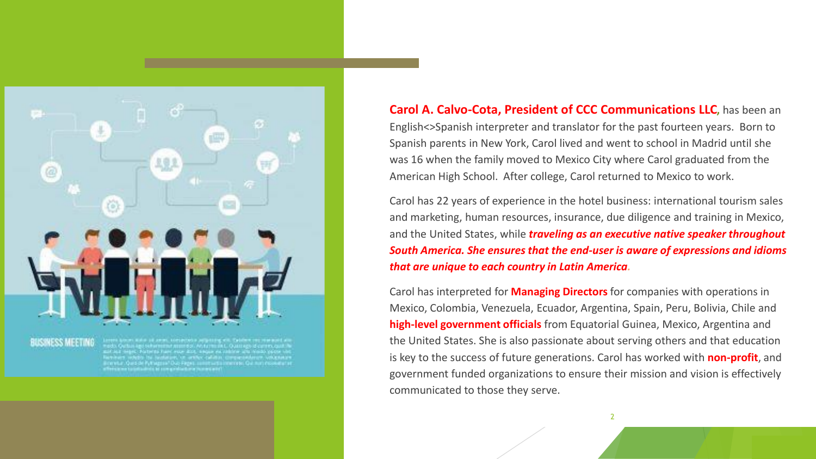

**RISSMESS MEETING** 

**Carol A. Calvo-Cota, President of CCC Communications LLC,** has been an English<>Spanish interpreter and translator for the past fourteen years. Born to Spanish parents in New York, Carol lived and went to school in Madrid until she was 16 when the family moved to Mexico City where Carol graduated from the American High School. After college, Carol returned to Mexico to work.

Carol has 22 years of experience in the hotel business: international tourism sales and marketing, human resources, insurance, due diligence and training in Mexico, and the United States, while *traveling as an executive native speaker throughout South America. She ensures that the end-user is aware of expressions and idioms that are unique to each country in Latin America.*

Carol has interpreted for **Managing Directors** for companies with operations in Mexico, Colombia, Venezuela, Ecuador, Argentina, Spain, Peru, Bolivia, Chile and **high-level government officials** from Equatorial Guinea, Mexico, Argentina and the United States. She is also passionate about serving others and that education is key to the success of future generations. Carol has worked with **non-profit**, and government funded organizations to ensure their mission and vision is effectively communicated to those they serve.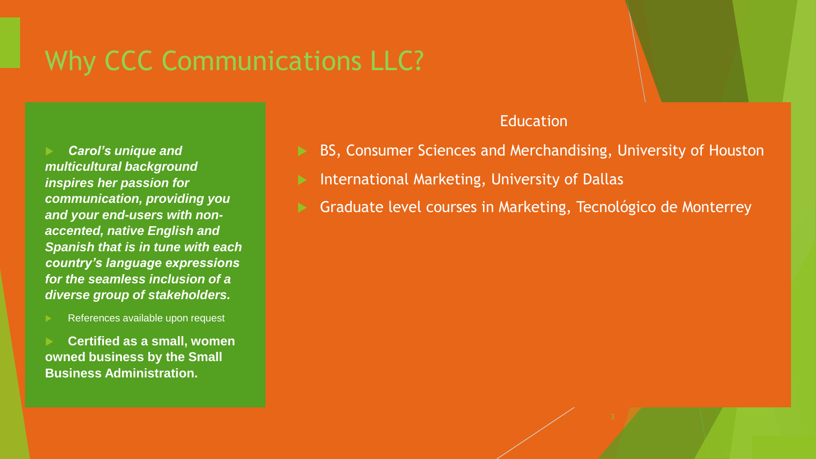### Why CCC Communications LLC?

 *Carol's unique and multicultural background inspires her passion for communication, providing you and your end-users with nonaccented, native English and Spanish that is in tune with each country's language expressions for the seamless inclusion of a diverse group of stakeholders.* 

References available upon request

 **Certified as a small, women owned business by the Small Business Administration.**

#### Education

- BS, Consumer Sciences and Merchandising, University of Houston
- International Marketing, University of Dallas
- Graduate level courses in Marketing, Tecnológico de Monterrey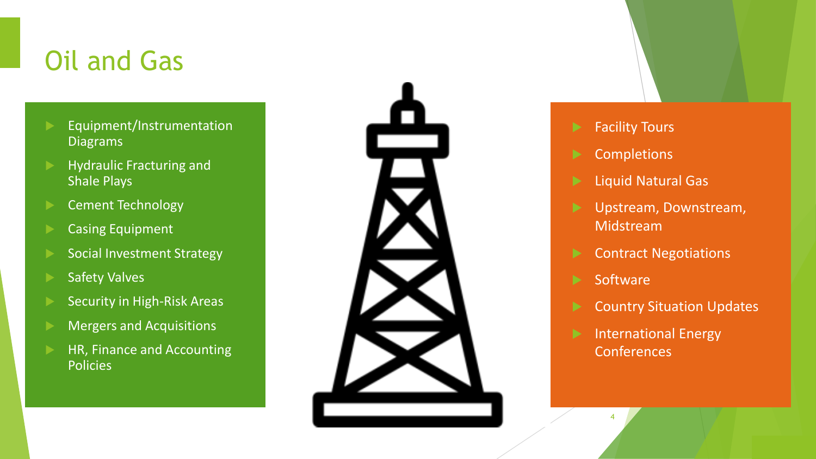#### Oil and Gas

- Equipment/Instrumentation Diagrams
- Hydraulic Fracturing and Shale Plays
- Cement Technology
- Casing Equipment
- Social Investment Strategy
- Safety Valves
- Security in High-Risk Areas
- Mergers and Acquisitions
- HR, Finance and Accounting Policies



- $\blacktriangleright$  Facility Tours
- **Completions**
- **Liquid Natural Gas**
- Upstream, Downstream, Midstream
- Contract Negotiations
- **Software**

- Country Situation Updates
- **International Energy Conferences**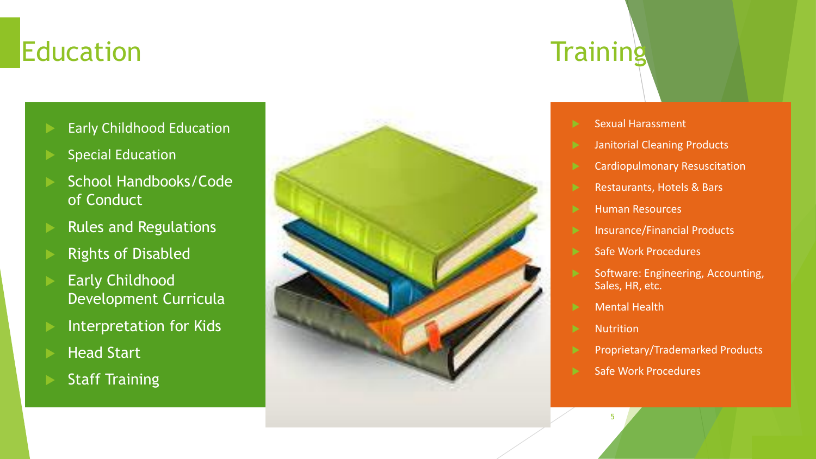## Education **Training**

- Early Childhood Education
- Special Education
- School Handbooks/Code of Conduct
- Rules and Regulations
- Rights of Disabled
- Early Childhood Development Curricula
- Interpretation for Kids
- Head Start
- Staff Training



- Sexual Harassment
- Janitorial Cleaning Products
- Cardiopulmonary Resuscitation
- Restaurants, Hotels & Bars
- Human Resources
- Insurance/Financial Products
- Safe Work Procedures
- Software: Engineering, Accounting, Sales, HR, etc.
- **Mental Health**
- **Nutrition**

- Proprietary/Trademarked Products
- Safe Work Procedures